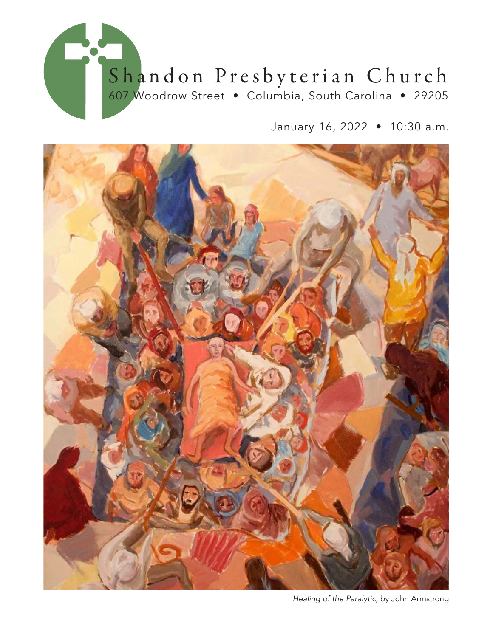

January 16, 2022 • 10:30 a.m.



*Healing of the Paralytic,* by John Armstrong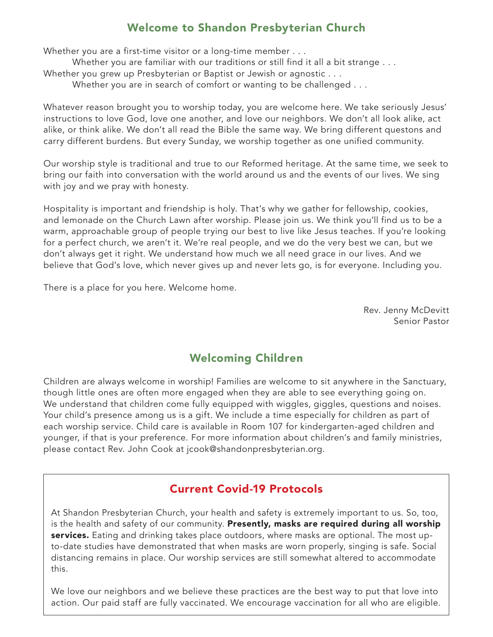#### Welcome to Shandon Presbyterian Church

Whether you are a first-time visitor or a long-time member . . . Whether you are familiar with our traditions or still find it all a bit strange . . . Whether you grew up Presbyterian or Baptist or Jewish or agnostic . . .

Whether you are in search of comfort or wanting to be challenged . . .

Whatever reason brought you to worship today, you are welcome here. We take seriously Jesus' instructions to love God, love one another, and love our neighbors. We don't all look alike, act alike, or think alike. We don't all read the Bible the same way. We bring different questons and carry different burdens. But every Sunday, we worship together as one unified community.

Our worship style is traditional and true to our Reformed heritage. At the same time, we seek to bring our faith into conversation with the world around us and the events of our lives. We sing with joy and we pray with honesty.

Hospitality is important and friendship is holy. That's why we gather for fellowship, cookies, and lemonade on the Church Lawn after worship. Please join us. We think you'll find us to be a warm, approachable group of people trying our best to live like Jesus teaches. If you're looking for a perfect church, we aren't it. We're real people, and we do the very best we can, but we don't always get it right. We understand how much we all need grace in our lives. And we believe that God's love, which never gives up and never lets go, is for everyone. Including you.

There is a place for you here. Welcome home.

Rev. Jenny McDevitt Senior Pastor

### Welcoming Children

Children are always welcome in worship! Families are welcome to sit anywhere in the Sanctuary, though little ones are often more engaged when they are able to see everything going on. We understand that children come fully equipped with wiggles, giggles, questions and noises. Your child's presence among us is a gift. We include a time especially for children as part of each worship service. Child care is available in Room 107 for kindergarten-aged children and younger, if that is your preference. For more information about children's and family ministries, please contact Rev. John Cook at jcook@shandonpresbyterian.org.

### Current Covid-19 Protocols

At Shandon Presbyterian Church, your health and safety is extremely important to us. So, too, is the health and safety of our community. Presently, masks are required during all worship services. Eating and drinking takes place outdoors, where masks are optional. The most upto-date studies have demonstrated that when masks are worn properly, singing is safe. Social distancing remains in place. Our worship services are still somewhat altered to accommodate this.

We love our neighbors and we believe these practices are the best way to put that love into action. Our paid staff are fully vaccinated. We encourage vaccination for all who are eligible.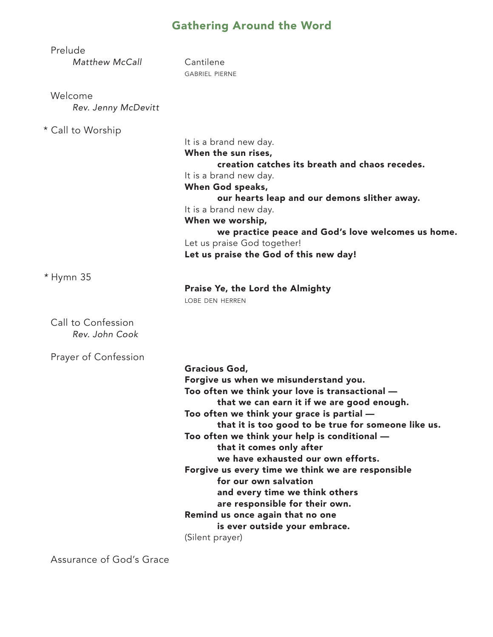# Gathering Around the Word

| Prelude<br>Matthew McCall            | Cantilene<br><b>GABRIEL PIERNE</b>                                                                                                                                                                                                                                                                                                                                                                                                                                                                                                                                                                                               |
|--------------------------------------|----------------------------------------------------------------------------------------------------------------------------------------------------------------------------------------------------------------------------------------------------------------------------------------------------------------------------------------------------------------------------------------------------------------------------------------------------------------------------------------------------------------------------------------------------------------------------------------------------------------------------------|
| Welcome<br>Rev. Jenny McDevitt       |                                                                                                                                                                                                                                                                                                                                                                                                                                                                                                                                                                                                                                  |
| * Call to Worship                    | It is a brand new day.<br>When the sun rises,<br>creation catches its breath and chaos recedes.<br>It is a brand new day.<br>When God speaks,<br>our hearts leap and our demons slither away.<br>It is a brand new day.<br>When we worship,<br>we practice peace and God's love welcomes us home.<br>Let us praise God together!<br>Let us praise the God of this new day!                                                                                                                                                                                                                                                       |
| * Hymn 35                            | Praise Ye, the Lord the Almighty<br>LOBE DEN HERREN                                                                                                                                                                                                                                                                                                                                                                                                                                                                                                                                                                              |
| Call to Confession<br>Rev. John Cook |                                                                                                                                                                                                                                                                                                                                                                                                                                                                                                                                                                                                                                  |
| Prayer of Confession                 | <b>Gracious God,</b><br>Forgive us when we misunderstand you.<br>Too often we think your love is transactional -<br>that we can earn it if we are good enough.<br>Too often we think your grace is partial -<br>that it is too good to be true for someone like us.<br>Too often we think your help is conditional -<br>that it comes only after<br>we have exhausted our own efforts.<br>Forgive us every time we think we are responsible<br>for our own salvation<br>and every time we think others<br>are responsible for their own.<br>Remind us once again that no one<br>is ever outside your embrace.<br>(Silent prayer) |

Assurance of God's Grace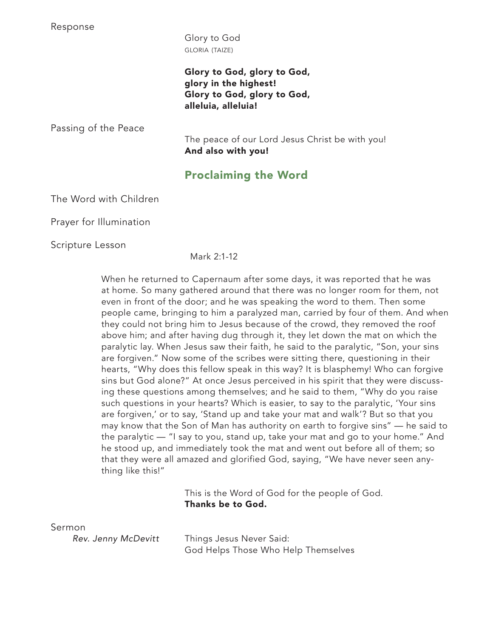Response

 Glory to God gloria (taize)

Glory to God, glory to God, glory in the highest! Glory to God, glory to God, alleluia, alleluia!

Passing of the Peace

The peace of our Lord Jesus Christ be with you! And also with you!

## Proclaiming the Word

The Word with Children

Prayer for Illumination

Scripture Lesson

Mark 2:1-12

When he returned to Capernaum after some days, it was reported that he was at home. So many gathered around that there was no longer room for them, not even in front of the door; and he was speaking the word to them. Then some people came, bringing to him a paralyzed man, carried by four of them. And when they could not bring him to Jesus because of the crowd, they removed the roof above him; and after having dug through it, they let down the mat on which the paralytic lay. When Jesus saw their faith, he said to the paralytic, "Son, your sins are forgiven." Now some of the scribes were sitting there, questioning in their hearts, "Why does this fellow speak in this way? It is blasphemy! Who can forgive sins but God alone?" At once Jesus perceived in his spirit that they were discussing these questions among themselves; and he said to them, "Why do you raise such questions in your hearts? Which is easier, to say to the paralytic, 'Your sins are forgiven,' or to say, 'Stand up and take your mat and walk'? But so that you may know that the Son of Man has authority on earth to forgive sins" — he said to the paralytic — "I say to you, stand up, take your mat and go to your home." And he stood up, and immediately took the mat and went out before all of them; so that they were all amazed and glorified God, saying, "We have never seen anything like this!"

> This is the Word of God for the people of God. Thanks be to God.

Sermon

*Rev. Jenny McDevitt* Things Jesus Never Said: God Helps Those Who Help Themselves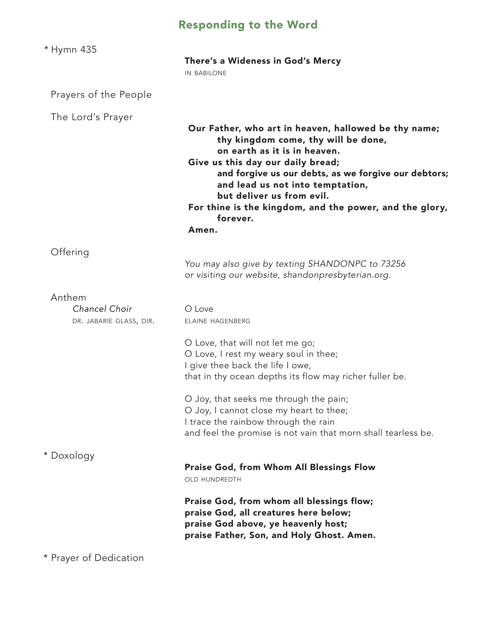# Responding to the Word

| * Hymn 435                                         | There's a Wideness in God's Mercy<br><b>IN BABILONE</b>                                                                                                                                                                                                                                                                                                                                              |
|----------------------------------------------------|------------------------------------------------------------------------------------------------------------------------------------------------------------------------------------------------------------------------------------------------------------------------------------------------------------------------------------------------------------------------------------------------------|
| Prayers of the People                              |                                                                                                                                                                                                                                                                                                                                                                                                      |
| The Lord's Prayer                                  | Our Father, who art in heaven, hallowed be thy name;<br>thy kingdom come, thy will be done,<br>on earth as it is in heaven.<br>Give us this day our daily bread;<br>and forgive us our debts, as we forgive our debtors;<br>and lead us not into temptation,<br>but deliver us from evil.<br>For thine is the kingdom, and the power, and the glory,<br>forever.<br>Amen.                            |
| Offering                                           | You may also give by texting SHANDONPC to 73256<br>or visiting our website, shandonpresbyterian.org.                                                                                                                                                                                                                                                                                                 |
| Anthem<br>Chancel Choir<br>DR. JABARIE GLASS, DIR. | O Love<br>ELAINE HAGENBERG<br>O Love, that will not let me go;<br>O Love, I rest my weary soul in thee;<br>I give thee back the life I owe,<br>that in thy ocean depths its flow may richer fuller be.<br>O Joy, that seeks me through the pain;<br>O Joy, I cannot close my heart to thee;<br>I trace the rainbow through the rain<br>and feel the promise is not vain that morn shall tearless be. |
| * Doxology                                         | <b>Praise God, from Whom All Blessings Flow</b><br><b>OLD HUNDREDTH</b><br>Praise God, from whom all blessings flow;<br>praise God, all creatures here below;<br>praise God above, ye heavenly host;<br>praise Father, Son, and Holy Ghost. Amen.                                                                                                                                                    |

\* Prayer of Dedication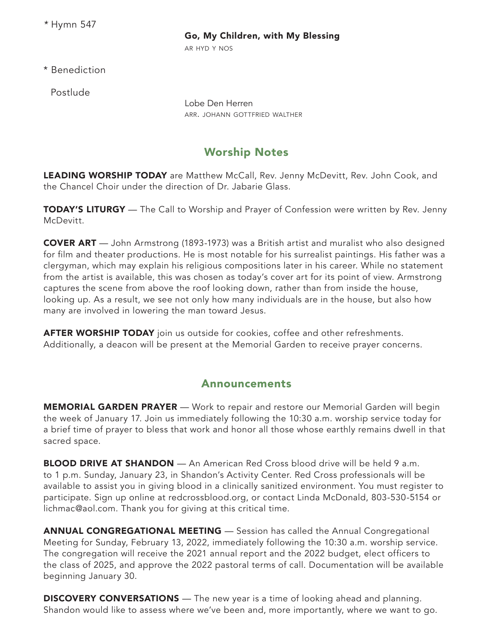*\** Hymn 547

#### Go, My Children, with My Blessing

ar hyd y nos

\* Benediction

Postlude

Lobe Den Herren ARR. JOHANN GOTTFRIED WALTHER

### Worship Notes

LEADING WORSHIP TODAY are Matthew McCall, Rev. Jenny McDevitt, Rev. John Cook, and the Chancel Choir under the direction of Dr. Jabarie Glass.

**TODAY'S LITURGY** — The Call to Worship and Prayer of Confession were written by Rev. Jenny McDevitt.

COVER ART — John Armstrong (1893-1973) was a British artist and muralist who also designed for film and theater productions. He is most notable for his surrealist paintings. His father was a clergyman, which may explain his religious compositions later in his career. While no statement from the artist is available, this was chosen as today's cover art for its point of view. Armstrong captures the scene from above the roof looking down, rather than from inside the house, looking up. As a result, we see not only how many individuals are in the house, but also how many are involved in lowering the man toward Jesus.

**AFTER WORSHIP TODAY** join us outside for cookies, coffee and other refreshments. Additionally, a deacon will be present at the Memorial Garden to receive prayer concerns.

#### Announcements

**MEMORIAL GARDEN PRAYER** — Work to repair and restore our Memorial Garden will begin the week of January 17. Join us immediately following the 10:30 a.m. worship service today for a brief time of prayer to bless that work and honor all those whose earthly remains dwell in that sacred space.

**BLOOD DRIVE AT SHANDON** — An American Red Cross blood drive will be held 9 a.m. to 1 p.m. Sunday, January 23, in Shandon's Activity Center. Red Cross professionals will be available to assist you in giving blood in a clinically sanitized environment. You must register to participate. Sign up online at redcrossblood.org, or contact Linda McDonald, 803-530-5154 or lichmac@aol.com. Thank you for giving at this critical time.

ANNUAL CONGREGATIONAL MEETING — Session has called the Annual Congregational Meeting for Sunday, February 13, 2022, immediately following the 10:30 a.m. worship service. The congregation will receive the 2021 annual report and the 2022 budget, elect officers to the class of 2025, and approve the 2022 pastoral terms of call. Documentation will be available beginning January 30.

**DISCOVERY CONVERSATIONS** — The new year is a time of looking ahead and planning. Shandon would like to assess where we've been and, more importantly, where we want to go.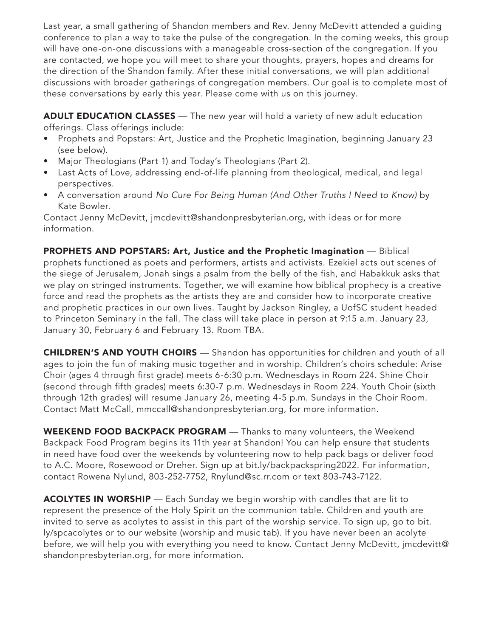Last year, a small gathering of Shandon members and Rev. Jenny McDevitt attended a guiding conference to plan a way to take the pulse of the congregation. In the coming weeks, this group will have one-on-one discussions with a manageable cross-section of the congregation. If you are contacted, we hope you will meet to share your thoughts, prayers, hopes and dreams for the direction of the Shandon family. After these initial conversations, we will plan additional discussions with broader gatherings of congregation members. Our goal is to complete most of these conversations by early this year. Please come with us on this journey.

ADULT EDUCATION CLASSES - The new year will hold a variety of new adult education offerings. Class offerings include:

- Prophets and Popstars: Art, Justice and the Prophetic Imagination, beginning January 23 (see below).
- Major Theologians (Part 1) and Today's Theologians (Part 2).
- Last Acts of Love, addressing end-of-life planning from theological, medical, and legal perspectives.
- A conversation around *No Cure For Being Human (And Other Truths I Need to Know)* by Kate Bowler.

Contact Jenny McDevitt, jmcdevitt@shandonpresbyterian.org, with ideas or for more information.

PROPHETS AND POPSTARS: Art, Justice and the Prophetic Imagination — Biblical prophets functioned as poets and performers, artists and activists. Ezekiel acts out scenes of the siege of Jerusalem, Jonah sings a psalm from the belly of the fish, and Habakkuk asks that we play on stringed instruments. Together, we will examine how biblical prophecy is a creative force and read the prophets as the artists they are and consider how to incorporate creative and prophetic practices in our own lives. Taught by Jackson Ringley, a UofSC student headed to Princeton Seminary in the fall. The class will take place in person at 9:15 a.m. January 23, January 30, February 6 and February 13. Room TBA.

CHILDREN'S AND YOUTH CHOIRS — Shandon has opportunities for children and youth of all ages to join the fun of making music together and in worship. Children's choirs schedule: Arise Choir (ages 4 through first grade) meets 6-6:30 p.m. Wednesdays in Room 224. Shine Choir (second through fifth grades) meets 6:30-7 p.m. Wednesdays in Room 224. Youth Choir (sixth through 12th grades) will resume January 26, meeting 4-5 p.m. Sundays in the Choir Room. Contact Matt McCall, mmccall@shandonpresbyterian.org, for more information.

WEEKEND FOOD BACKPACK PROGRAM — Thanks to many volunteers, the Weekend Backpack Food Program begins its 11th year at Shandon! You can help ensure that students in need have food over the weekends by volunteering now to help pack bags or deliver food to A.C. Moore, Rosewood or Dreher. Sign up at bit.ly/backpackspring2022. For information, contact Rowena Nylund, 803-252-7752, Rnylund@sc.rr.com or text 803-743-7122.

ACOLYTES IN WORSHIP — Each Sunday we begin worship with candles that are lit to represent the presence of the Holy Spirit on the communion table. Children and youth are invited to serve as acolytes to assist in this part of the worship service. To sign up, go to bit. ly/spcacolytes or to our website (worship and music tab). If you have never been an acolyte before, we will help you with everything you need to know. Contact Jenny McDevitt, jmcdevitt@ shandonpresbyterian.org, for more information.